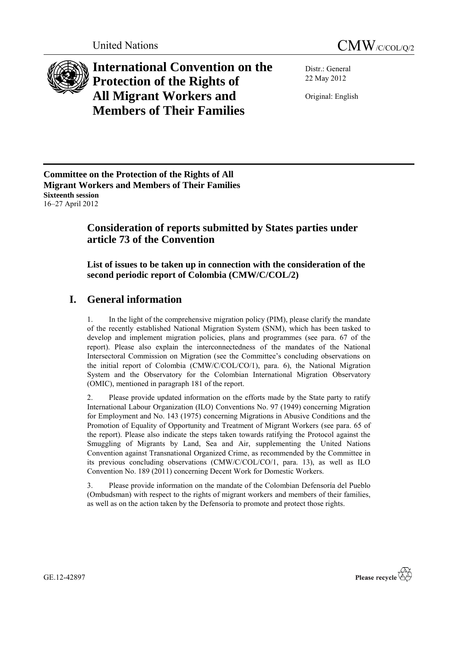



**International Convention on the Protection of the Rights of All Migrant Workers and Members of Their Families**

Distr.: General 22 May 2012

Original: English

**Committee on the Protection of the Rights of All Migrant Workers and Members of Their Families Sixteenth session** 16–27 April 2012

## **Consideration of reports submitted by States parties under article 73 of the Convention**

**List of issues to be taken up in connection with the consideration of the second periodic report of Colombia (CMW/C/COL/2)**

# **I. General information**

1. In the light of the comprehensive migration policy (PIM), please clarify the mandate of the recently established National Migration System (SNM), which has been tasked to develop and implement migration policies, plans and programmes (see para. 67 of the report). Please also explain the interconnectedness of the mandates of the National Intersectoral Commission on Migration (see the Committee's concluding observations on the initial report of Colombia (CMW/C/COL/CO/1), para. 6), the National Migration System and the Observatory for the Colombian International Migration Observatory (OMIC), mentioned in paragraph 181 of the report.

2. Please provide updated information on the efforts made by the State party to ratify International Labour Organization (ILO) Conventions No. 97 (1949) concerning Migration for Employment and No. 143 (1975) concerning Migrations in Abusive Conditions and the Promotion of Equality of Opportunity and Treatment of Migrant Workers (see para. 65 of the report). Please also indicate the steps taken towards ratifying the Protocol against the Smuggling of Migrants by Land, Sea and Air, supplementing the United Nations Convention against Transnational Organized Crime, as recommended by the Committee in its previous concluding observations (CMW/C/COL/CO/1, para. 13), as well as ILO Convention No. 189 (2011) concerning Decent Work for Domestic Workers.

3. Please provide information on the mandate of the Colombian Defensoría del Pueblo (Ombudsman) with respect to the rights of migrant workers and members of their families, as well as on the action taken by the Defensoría to promote and protect those rights.



GE.12-42897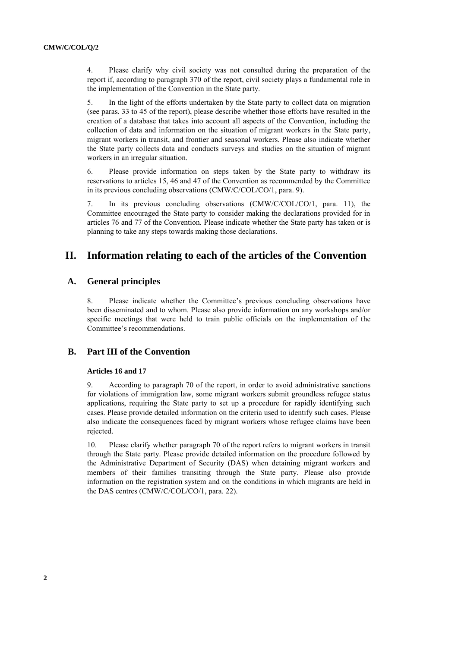4. Please clarify why civil society was not consulted during the preparation of the report if, according to paragraph 370 of the report, civil society plays a fundamental role in the implementation of the Convention in the State party.

5. In the light of the efforts undertaken by the State party to collect data on migration (see paras. 33 to 45 of the report), please describe whether those efforts have resulted in the creation of a database that takes into account all aspects of the Convention, including the collection of data and information on the situation of migrant workers in the State party, migrant workers in transit, and frontier and seasonal workers. Please also indicate whether the State party collects data and conducts surveys and studies on the situation of migrant workers in an irregular situation.

6. Please provide information on steps taken by the State party to withdraw its reservations to articles 15, 46 and 47 of the Convention as recommended by the Committee in its previous concluding observations (CMW/C/COL/CO/1, para. 9).

7. In its previous concluding observations (CMW/C/COL/CO/1, para. 11), the Committee encouraged the State party to consider making the declarations provided for in articles 76 and 77 of the Convention. Please indicate whether the State party has taken or is planning to take any steps towards making those declarations.

## **II. Information relating to each of the articles of the Convention**

## **A. General principles**

8. Please indicate whether the Committee's previous concluding observations have been disseminated and to whom. Please also provide information on any workshops and/or specific meetings that were held to train public officials on the implementation of the Committee's recommendations.

### **B. Part III of the Convention**

#### **Articles 16 and 17**

9. According to paragraph 70 of the report, in order to avoid administrative sanctions for violations of immigration law, some migrant workers submit groundless refugee status applications, requiring the State party to set up a procedure for rapidly identifying such cases. Please provide detailed information on the criteria used to identify such cases. Please also indicate the consequences faced by migrant workers whose refugee claims have been rejected.

10. Please clarify whether paragraph 70 of the report refers to migrant workers in transit through the State party. Please provide detailed information on the procedure followed by the Administrative Department of Security (DAS) when detaining migrant workers and members of their families transiting through the State party. Please also provide information on the registration system and on the conditions in which migrants are held in the DAS centres (CMW/C/COL/CO/1, para. 22).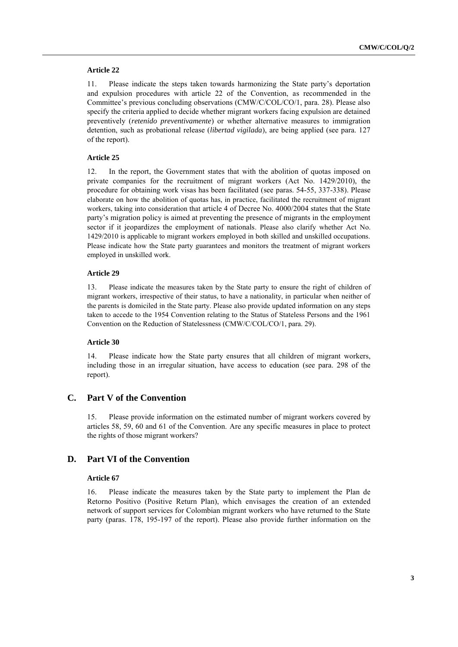#### **Article 22**

11. Please indicate the steps taken towards harmonizing the State party's deportation and expulsion procedures with article 22 of the Convention, as recommended in the Committee's previous concluding observations (CMW/C/COL/CO/1, para. 28). Please also specify the criteria applied to decide whether migrant workers facing expulsion are detained preventively (*retenido preventivamente*) or whether alternative measures to immigration detention, such as probational release (*libertad vigilada*), are being applied (see para. 127 of the report).

#### **Article 25**

12. In the report, the Government states that with the abolition of quotas imposed on private companies for the recruitment of migrant workers (Act No. 1429/2010), the procedure for obtaining work visas has been facilitated (see paras. 54-55, 337-338). Please elaborate on how the abolition of quotas has, in practice, facilitated the recruitment of migrant workers, taking into consideration that article 4 of Decree No. 4000/2004 states that the State party's migration policy is aimed at preventing the presence of migrants in the employment sector if it jeopardizes the employment of nationals. Please also clarify whether Act No. 1429/2010 is applicable to migrant workers employed in both skilled and unskilled occupations. Please indicate how the State party guarantees and monitors the treatment of migrant workers employed in unskilled work.

#### **Article 29**

13. Please indicate the measures taken by the State party to ensure the right of children of migrant workers, irrespective of their status, to have a nationality, in particular when neither of the parents is domiciled in the State party. Please also provide updated information on any steps taken to accede to the 1954 Convention relating to the Status of Stateless Persons and the 1961 Convention on the Reduction of Statelessness (CMW/C/COL/CO/1, para. 29).

#### **Article 30**

14. Please indicate how the State party ensures that all children of migrant workers, including those in an irregular situation, have access to education (see para. 298 of the report).

### **C. Part V of the Convention**

15. Please provide information on the estimated number of migrant workers covered by articles 58, 59, 60 and 61 of the Convention. Are any specific measures in place to protect the rights of those migrant workers?

#### **D. Part VI of the Convention**

#### **Article 67**

16. Please indicate the measures taken by the State party to implement the Plan de Retorno Positivo (Positive Return Plan), which envisages the creation of an extended network of support services for Colombian migrant workers who have returned to the State party (paras. 178, 195-197 of the report). Please also provide further information on the